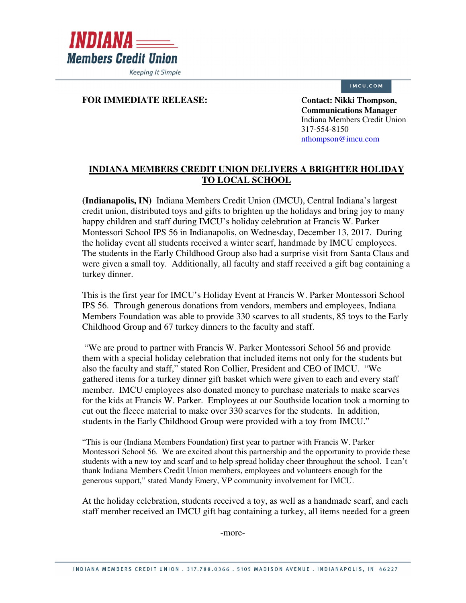

IMCU.COM

## **FOR IMMEDIATE RELEASE:** Contact: Nikki Thompson,

**Communications Manager**  Indiana Members Credit Union 317-554-8150 nthompson@imcu.com

## **INDIANA MEMBERS CREDIT UNION DELIVERS A BRIGHTER HOLIDAY TO LOCAL SCHOOL**

**(Indianapolis, IN)** Indiana Members Credit Union (IMCU), Central Indiana's largest credit union, distributed toys and gifts to brighten up the holidays and bring joy to many happy children and staff during IMCU's holiday celebration at Francis W. Parker Montessori School IPS 56 in Indianapolis, on Wednesday, December 13, 2017. During the holiday event all students received a winter scarf, handmade by IMCU employees. The students in the Early Childhood Group also had a surprise visit from Santa Claus and were given a small toy. Additionally, all faculty and staff received a gift bag containing a turkey dinner.

This is the first year for IMCU's Holiday Event at Francis W. Parker Montessori School IPS 56. Through generous donations from vendors, members and employees, Indiana Members Foundation was able to provide 330 scarves to all students, 85 toys to the Early Childhood Group and 67 turkey dinners to the faculty and staff.

 "We are proud to partner with Francis W. Parker Montessori School 56 and provide them with a special holiday celebration that included items not only for the students but also the faculty and staff," stated Ron Collier, President and CEO of IMCU. "We gathered items for a turkey dinner gift basket which were given to each and every staff member. IMCU employees also donated money to purchase materials to make scarves for the kids at Francis W. Parker. Employees at our Southside location took a morning to cut out the fleece material to make over 330 scarves for the students. In addition, students in the Early Childhood Group were provided with a toy from IMCU."

"This is our (Indiana Members Foundation) first year to partner with Francis W. Parker Montessori School 56. We are excited about this partnership and the opportunity to provide these students with a new toy and scarf and to help spread holiday cheer throughout the school. I can't thank Indiana Members Credit Union members, employees and volunteers enough for the generous support," stated Mandy Emery, VP community involvement for IMCU.

At the holiday celebration, students received a toy, as well as a handmade scarf, and each staff member received an IMCU gift bag containing a turkey, all items needed for a green

-more-